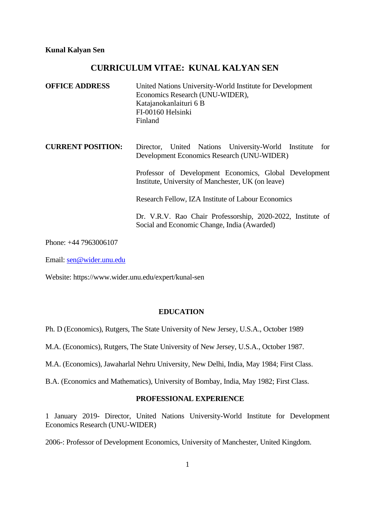# **CURRICULUM VITAE: KUNAL KALYAN SEN**

| <b>OFFICE ADDRESS</b>    | United Nations University-World Institute for Development<br>Economics Research (UNU-WIDER),<br>Katajanokanlaituri 6 B<br>FI-00160 Helsinki<br>Finland |
|--------------------------|--------------------------------------------------------------------------------------------------------------------------------------------------------|
| <b>CURRENT POSITION:</b> | United Nations University-World Institute<br>for<br>Director,<br>Development Economics Research (UNU-WIDER)                                            |
|                          | Professor of Development Economics, Global Development<br>Institute, University of Manchester, UK (on leave)                                           |
|                          | Research Fellow, IZA Institute of Labour Economics                                                                                                     |
|                          | Dr. V.R.V. Rao Chair Professorship, 2020-2022, Institute of<br>Social and Economic Change, India (Awarded)                                             |
|                          |                                                                                                                                                        |

Phone: +44 7963006107

Email: [sen@wider.unu.edu](mailto:sen@wider.unu.edu)

Website: https://www.wider.unu.edu/expert/kunal-sen

# **EDUCATION**

- Ph. D (Economics), Rutgers, The State University of New Jersey, U.S.A., October 1989
- M.A. (Economics), Rutgers, The State University of New Jersey, U.S.A., October 1987.
- M.A. (Economics), Jawaharlal Nehru University, New Delhi, India, May 1984; First Class.
- B.A. (Economics and Mathematics), University of Bombay, India, May 1982; First Class.

# **PROFESSIONAL EXPERIENCE**

1 January 2019- Director, United Nations University-World Institute for Development Economics Research (UNU-WIDER)

2006-: Professor of Development Economics, University of Manchester, United Kingdom.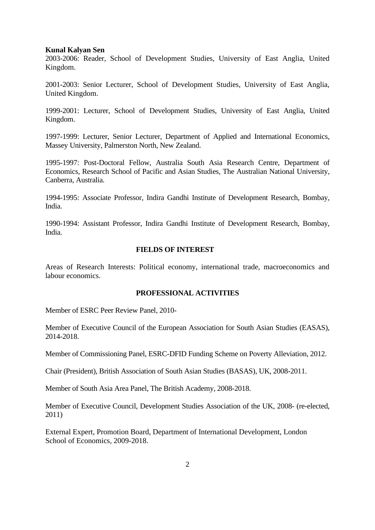2003-2006: Reader, School of Development Studies, University of East Anglia, United Kingdom.

2001-2003: Senior Lecturer, School of Development Studies, University of East Anglia, United Kingdom.

1999-2001: Lecturer, School of Development Studies, University of East Anglia, United Kingdom.

1997-1999: Lecturer, Senior Lecturer, Department of Applied and International Economics, Massey University, Palmerston North, New Zealand.

1995-1997: Post-Doctoral Fellow, Australia South Asia Research Centre, Department of Economics, Research School of Pacific and Asian Studies, The Australian National University, Canberra, Australia.

1994-1995: Associate Professor, Indira Gandhi Institute of Development Research, Bombay, India.

1990-1994: Assistant Professor, Indira Gandhi Institute of Development Research, Bombay, India.

#### **FIELDS OF INTEREST**

Areas of Research Interests: Political economy, international trade, macroeconomics and labour economics.

### **PROFESSIONAL ACTIVITIES**

Member of ESRC Peer Review Panel, 2010-

Member of Executive Council of the European Association for South Asian Studies (EASAS), 2014-2018.

Member of Commissioning Panel, ESRC-DFID Funding Scheme on Poverty Alleviation, 2012.

Chair (President), British Association of South Asian Studies (BASAS), UK, 2008-2011.

Member of South Asia Area Panel, The British Academy, 2008-2018.

Member of Executive Council, Development Studies Association of the UK, 2008- (re-elected, 2011)

External Expert, Promotion Board, Department of International Development, London School of Economics, 2009-2018.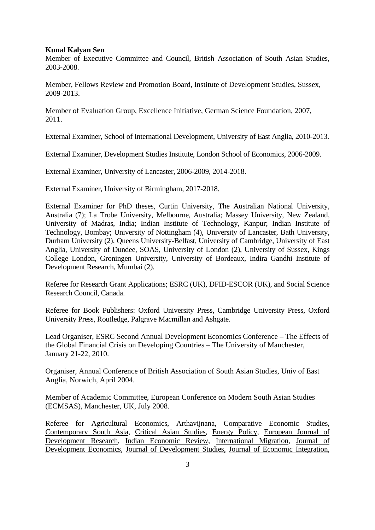Member of Executive Committee and Council, British Association of South Asian Studies, 2003-2008.

Member, Fellows Review and Promotion Board, Institute of Development Studies, Sussex, 2009-2013.

Member of Evaluation Group, Excellence Initiative, German Science Foundation, 2007, 2011.

External Examiner, School of International Development, University of East Anglia, 2010-2013.

External Examiner, Development Studies Institute, London School of Economics, 2006-2009.

External Examiner, University of Lancaster, 2006-2009, 2014-2018.

External Examiner, University of Birmingham, 2017-2018.

External Examiner for PhD theses, Curtin University, The Australian National University, Australia (7); La Trobe University, Melbourne, Australia; Massey University, New Zealand, University of Madras, India; Indian Institute of Technology, Kanpur; Indian Institute of Technology, Bombay; University of Nottingham (4), University of Lancaster, Bath University, Durham University (2), Queens University-Belfast, University of Cambridge, University of East Anglia, University of Dundee, SOAS, University of London (2), University of Sussex, Kings College London, Groningen University, University of Bordeaux, Indira Gandhi Institute of Development Research, Mumbai (2).

Referee for Research Grant Applications; ESRC (UK), DFID-ESCOR (UK), and Social Science Research Council, Canada.

Referee for Book Publishers: Oxford University Press, Cambridge University Press, Oxford University Press, Routledge, Palgrave Macmillan and Ashgate.

Lead Organiser, ESRC Second Annual Development Economics Conference – The Effects of the Global Financial Crisis on Developing Countries – The University of Manchester, January 21-22, 2010.

Organiser, Annual Conference of British Association of South Asian Studies, Univ of East Anglia, Norwich, April 2004.

Member of Academic Committee, European Conference on Modern South Asian Studies (ECMSAS), Manchester, UK, July 2008.

Referee for Agricultural Economics, Arthavijnana, Comparative Economic Studies, Contemporary South Asia, Critical Asian Studies, Energy Policy, European Journal of Development Research, Indian Economic Review, International Migration, Journal of Development Economics, Journal of Development Studies, Journal of Economic Integration,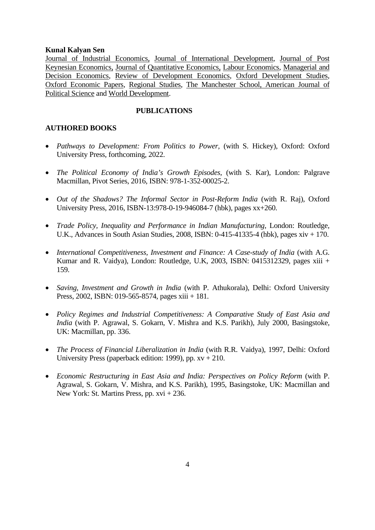Journal of Industrial Economics, Journal of International Development, Journal of Post Keynesian Economics, Journal of Quantitative Economics, Labour Economics, Managerial and Decision Economics, Review of Development Economics, Oxford Development Studies, Oxford Economic Papers, Regional Studies, The Manchester School, American Journal of Political Science and World Development.

# **PUBLICATIONS**

# **AUTHORED BOOKS**

- *Pathways to Development: From Politics to Power,* (with S. Hickey), Oxford: Oxford University Press, forthcoming, 2022.
- *The Political Economy of India's Growth Episodes*, (with S. Kar), London: Palgrave Macmillan, Pivot Series, 2016, ISBN: 978-1-352-00025-2.
- *Out of the Shadows? The Informal Sector in Post-Reform India* (with R. Raj), Oxford University Press, 2016, ISBN-13:978-0-19-946084-7 (hbk), pages xx+260.
- *Trade Policy, Inequality and Performance in Indian Manufacturing*, London: Routledge, U.K., Advances in South Asian Studies, 2008, ISBN: 0-415-41335-4 (hbk), pages xiv + 170.
- *International Competitiveness, Investment and Finance: A Case-study of India* (with A.G. Kumar and R. Vaidya), London: Routledge, U.K, 2003, ISBN: 0415312329, pages xiii + 159.
- *Saving, Investment and Growth in India* (with P. Athukorala), Delhi: Oxford University Press, 2002, ISBN: 019-565-8574, pages xiii + 181.
- *Policy Regimes and Industrial Competitiveness: A Comparative Study of East Asia and India* (with P. Agrawal, S. Gokarn, V. Mishra and K.S. Parikh), July 2000, Basingstoke, UK: Macmillan, pp. 336.
- *The Process of Financial Liberalization in India* (with R.R. Vaidya), 1997, Delhi: Oxford University Press (paperback edition: 1999), pp. xv + 210.
- *Economic Restructuring in East Asia and India: Perspectives on Policy Reform* (with P. Agrawal, S. Gokarn, V. Mishra, and K.S. Parikh), 1995, Basingstoke, UK: Macmillan and New York: St. Martins Press, pp. xvi + 236.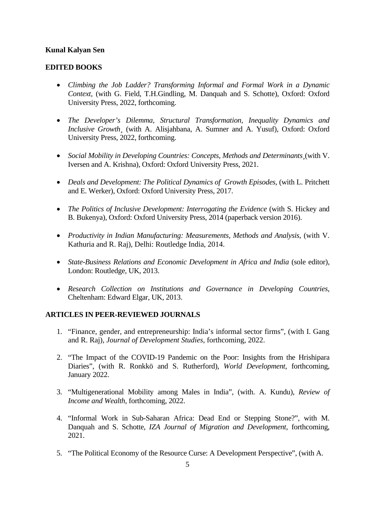# **EDITED BOOKS**

- *Climbing the Job Ladder? Transforming Informal and Formal Work in a Dynamic Context*, (with G. Field, T.H.Gindling, M. Danquah and S. Schotte), Oxford: Oxford University Press, 2022, forthcoming.
- *The Developer's Dilemma, Structural Transformation, Inequality Dynamics and Inclusive Growth¸* (with A. Alisjahbana, A. Sumner and A. Yusuf), Oxford: Oxford University Press, 2022, forthcoming.
- *Social Mobility in Developing Countries: Concepts, Methods and Determinants¸*(with V. Iversen and A. Krishna), Oxford: Oxford University Press, 2021.
- *Deals and Development: The Political Dynamics of Growth Episodes*, (with L. Pritchett and E. Werker), Oxford: Oxford University Press, 2017.
- *The Politics of Inclusive Development: Interrogating the Evidence* (with S. Hickey and B. Bukenya), Oxford: Oxford University Press, 2014 (paperback version 2016).
- *Productivity in Indian Manufacturing: Measurements, Methods and Analysis*, (with V. Kathuria and R. Raj), Delhi: Routledge India, 2014.
- *State-Business Relations and Economic Development in Africa and India* (sole editor), London: Routledge, UK, 2013.
- *Research Collection on Institutions and Governance in Developing Countries*, Cheltenham: Edward Elgar, UK, 2013.

### **ARTICLES IN PEER-REVIEWED JOURNALS**

- 1. "Finance, gender, and entrepreneurship: India's informal sector firms", (with I. Gang and R. Raj), *Journal of Development Studies*, forthcoming, 2022.
- 2. "The Impact of the COVID-19 Pandemic on the Poor: Insights from the Hrishipara Diaries", (with R. Ronkkö and S. Rutherford), *World Development*, forthcoming, January 2022.
- 3. "Multigenerational Mobility among Males in India", (with. A. Kundu), *Review of Income and Wealth*, forthcoming, 2022.
- 4. "Informal Work in Sub-Saharan Africa: Dead End or Stepping Stone?", with M. Danquah and S. Schotte, *IZA Journal of Migration and Development*, forthcoming, 2021.
- 5. "The Political Economy of the Resource Curse: A Development Perspective", (with A.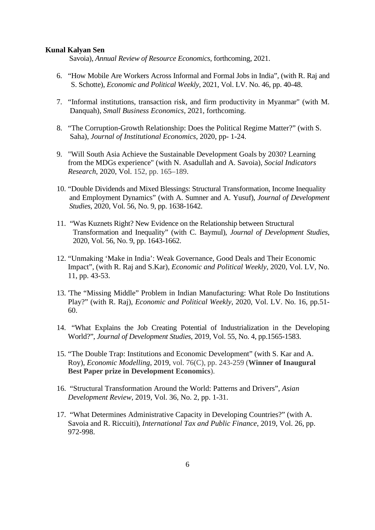Savoia), *Annual Review of Resource Economics*, forthcoming, 2021.

- 6. "How Mobile Are Workers Across Informal and Formal Jobs in India", (with R. Raj and S. Schotte), *Economic and Political Weekly,* 2021, Vol. LV. No. 46, pp. 40-48.
- 7. "Informal institutions, transaction risk, and firm productivity in Myanmar" (with M. Danquah), *Small Business Economics*, 2021, forthcoming.
- 8. "The Corruption-Growth Relationship: Does the Political Regime Matter?" (with S. Saha), *Journal of Institutional Economics*, 2020, pp- 1-24.
- 9. "Will South Asia Achieve the Sustainable Development Goals by 2030? Learning from the MDGs experience" (with N. Asadullah and A. Savoia), *Social Indicators Research*, 2020, Vol. 152, pp. 165–189.
- 10. "Double Dividends and Mixed Blessings: Structural Transformation, Income Inequality and Employment Dynamics" (with A. Sumner and A. Yusuf), *Journal of Development Studies*, 2020, Vol. 56, No. 9, pp. 1638-1642.
- 11. "Was Kuznets Right? New Evidence on the Relationship between Structural Transformation and Inequality" (with C. Baymul), *Journal of Development Studies*, 2020, Vol. 56, No. 9, pp. 1643-1662.
- 12. "Unmaking 'Make in India': Weak Governance, Good Deals and Their Economic Impact", (with R. Raj and S.Kar), *Economic and Political Weekly*, 2020, Vol. LV, No. 11, pp. 43-53.
- 13. 'The "Missing Middle" Problem in Indian Manufacturing: What Role Do Institutions Play?" (with R. Raj), *Economic and Political Weekly*, 2020, Vol. LV. No. 16, pp.51- 60.
- 14. "What Explains the Job Creating Potential of Industrialization in the Developing World?", *Journal of Development Studies*, 2019, Vol. 55, No. 4, pp.1565-1583.
- 15. "The Double Trap: Institutions and Economic Development" (with S. Kar and A. Roy), *Economic Modelling*, 2019, vol. 76(C), pp. 243-259 (**Winner of Inaugural Best Paper prize in Development Economics**).
- 16. "Structural Transformation Around the World: Patterns and Drivers", *Asian Development Review*, 2019, Vol. 36, No. 2, pp. 1-31.
- 17. "What Determines Administrative Capacity in Developing Countries?" (with A. Savoia and R. Riccuiti), *International Tax and Public Finance*, 2019, Vol. 26, pp. 972-998.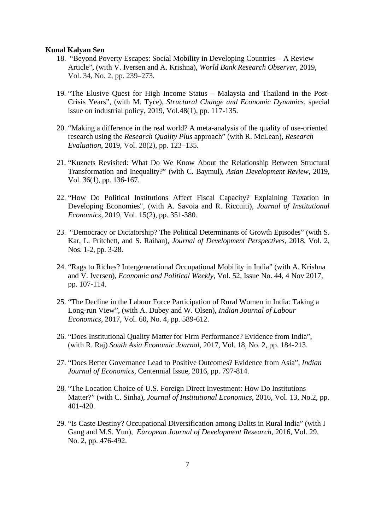- 18. "Beyond Poverty Escapes: Social Mobility in Developing Countries A Review Article", (with V. Iversen and A. Krishna), *World Bank Research Observer*, 2019, Vol. 34, No. 2, pp. 239–273.
- 19. "The Elusive Quest for High Income Status Malaysia and Thailand in the Post-Crisis Years", (with M. Tyce), *Structural Change and Economic Dynamics*, special issue on industrial policy, 2019, Vol.48(1), pp. 117-135.
- 20. "Making a difference in the real world? A meta-analysis of the quality of use-oriented research using the *Research Quality Plus* approach" (with R. McLean), *Research Evaluation*, 2019, Vol. 28(2), pp. 123–135.
- 21. "Kuznets Revisited: What Do We Know About the Relationship Between Structural Transformation and Inequality?" (with C. Baymul), *Asian Development Review*, 2019, Vol. 36(1), pp. 136-167.
- 22. "How Do Political Institutions Affect Fiscal Capacity? Explaining Taxation in Developing Economies", (with A. Savoia and R. Riccuiti), *Journal of Institutional Economics*, 2019, Vol. 15(2), pp. 351-380.
- 23. "Democracy or Dictatorship? The Political Determinants of Growth Episodes" (with S. Kar, L. Pritchett, and S. Raihan), *Journal of Development Perspectives*, 2018, Vol. 2, Nos. 1-2, pp. 3-28.
- 24. "Rags to Riches? Intergenerational Occupational Mobility in India" (with A. Krishna and V. Iversen), *Economic and Political Weekly*, Vol. 52, Issue No. 44, 4 Nov 2017, pp. 107-114.
- 25. "The Decline in the Labour Force Participation of Rural Women in India: Taking a Long-run View", (with A. Dubey and W. Olsen), *Indian Journal of Labour Economics*, 2017, Vol. 60, No. 4, pp. 589-612.
- 26. "Does Institutional Quality Matter for Firm Performance? Evidence from India", (with R. Raj) *South Asia Economic Journal*, 2017, Vol. 18, No. 2, pp. 184-213.
- 27. "Does Better Governance Lead to Positive Outcomes? Evidence from Asia", *Indian Journal of Economics*, Centennial Issue, 2016, pp. 797-814.
- 28. "The Location Choice of U.S. Foreign Direct Investment: How Do Institutions Matter?" (with C. Sinha), *Journal of Institutional Economics*, 2016, Vol. 13, No.2, pp. 401-420.
- 29. "Is Caste Destiny? Occupational Diversification among Dalits in Rural India" (with I Gang and M.S. Yun), *European Journal of Development Research*, 2016, Vol. 29, No. 2, pp. 476-492.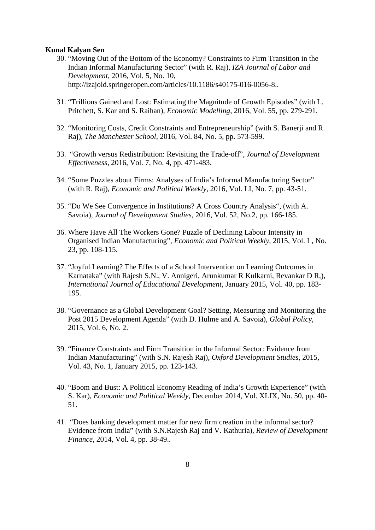- 30. "Moving Out of the Bottom of the Economy? Constraints to Firm Transition in the Indian Informal Manufacturing Sector" (with R. Raj), *IZA Journal of Labor and Development*, 2016, Vol. 5, No. 10, http://izajold.springeropen.com/articles/10.1186/s40175-016-0056-8..
- 31. "Trillions Gained and Lost: Estimating the Magnitude of Growth Episodes" (with L. Pritchett, S. Kar and S. Raihan), *Economic Modelling*, 2016, Vol. 55, pp. 279-291.
- 32. "Monitoring Costs, Credit Constraints and Entrepreneurship" (with S. Banerji and R. Raj), *The Manchester School*, 2016, Vol. 84, No. 5, pp. 573-599.
- 33. "Growth versus Redistribution: Revisiting the Trade-off", *Journal of Development Effectiveness,* 2016, Vol. 7, No. 4, pp. 471-483.
- 34. "Some Puzzles about Firms: Analyses of India's Informal Manufacturing Sector" (with R. Raj), *Economic and Political Weekly*, 2016, Vol. LI, No. 7, pp. 43-51.
- 35. "Do We See Convergence in Institutions? A Cross Country Analysis", (with A. Savoia), *Journal of Development Studies*, 2016, Vol. 52, No.2, pp. 166-185.
- 36. Where Have All The Workers Gone? Puzzle of Declining Labour Intensity in Organised Indian Manufacturing", *Economic and Political Weekly*, 2015, Vol. L, No. 23, pp. 108-115.
- 37. "Joyful Learning? The Effects of a School Intervention on Learning Outcomes in Karnataka" (with Rajesh S.N., V. Annigeri, Arunkumar R Kulkarni, Revankar D R,), *International Journal of Educational Development*, January 2015, Vol. 40, pp. 183- 195.
- 38. "Governance as a Global Development Goal? Setting, Measuring and Monitoring the Post 2015 Development Agenda" (with D. Hulme and A. Savoia), *Global Policy*, 2015, Vol. 6, No. 2.
- 39. "Finance Constraints and Firm Transition in the Informal Sector: Evidence from Indian Manufacturing" (with S.N. Rajesh Raj), *Oxford Development Studies*, 2015, Vol. 43, No. 1, January 2015, pp. 123-143.
- 40. "Boom and Bust: A Political Economy Reading of India's Growth Experience" (with S. Kar), *Economic and Political Weekly*, December 2014, Vol. XLIX, No. 50, pp. 40- 51.
- 41. "Does banking development matter for new firm creation in the informal sector? Evidence from India" (with S.N.Rajesh Raj and V. Kathuria), *Review of Development Finance*, 2014, Vol. 4, pp. 38-49..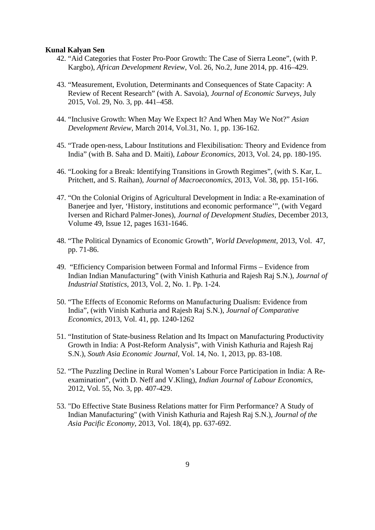- 42. "Aid Categories that Foster Pro-Poor Growth: The Case of Sierra Leone", (with P. Kargbo), *African Development Review*, Vol. 26, No.2, June 2014, pp. 416–429.
- 43. "Measurement, Evolution, Determinants and Consequences of State Capacity: A Review of Recent Research" (with A. Savoia), *Journal of Economic Surveys,* July 2015, Vol. 29, No. 3, pp. 441–458.
- 44. "Inclusive Growth: When May We Expect It? And When May We Not?" *Asian Development Review*, March 2014, Vol.31, No. 1, pp. 136-162.
- 45. "Trade open-ness, Labour Institutions and Flexibilisation: Theory and Evidence from India" (with B. Saha and D. Maiti), *Labour Economics*, 2013, Vol. 24, pp. 180-195.
- 46. "Looking for a Break: Identifying Transitions in Growth Regimes", (with S. Kar, L. Pritchett, and S. Raihan), *Journal of Macroeconomics*, 2013, Vol. 38, pp. 151-166.
- 47. "On the Colonial Origins of Agricultural Development in India: a Re-examination of Banerjee and Iyer, 'History, institutions and economic performance'", (with Vegard Iversen and Richard Palmer-Jones), *Journal of Development Studies*, December 2013, Volume 49, Issue 12, pages 1631-1646.
- 48. "The Political Dynamics of Economic Growth", *World Development*, 2013, Vol. 47, pp. 71-86.
- 49. "Efficiency Comparision between Formal and Informal Firms Evidence from Indian Indian Manufacturing" (with Vinish Kathuria and Rajesh Raj S.N.), *Journal of Industrial Statistics*, 2013, Vol. 2, No. 1. Pp. 1-24.
- 50. "The Effects of Economic Reforms on Manufacturing Dualism: Evidence from India", (with Vinish Kathuria and Rajesh Raj S.N.), *Journal of Comparative Economics,* 2013, Vol. 41, pp. 1240-1262
- 51. "Institution of State-business Relation and Its Impact on Manufacturing Productivity Growth in India: A Post-Reform Analysis", with Vinish Kathuria and Rajesh Raj S.N.), *South Asia Economic Journal,* Vol. 14, No. 1, 2013, pp. 83-108.
- 52. "The Puzzling Decline in Rural Women's Labour Force Participation in India: A Reexamination", (with D. Neff and V.Kling), *Indian Journal of Labour Economics*, 2012, Vol. 55, No. 3, pp. 407-429.
- 53. "Do Effective State Business Relations matter for Firm Performance? A Study of Indian Manufacturing" (with Vinish Kathuria and Rajesh Raj S.N.), *Journal of the Asia Pacific Economy,* 2013, Vol. 18(4), pp. 637-692.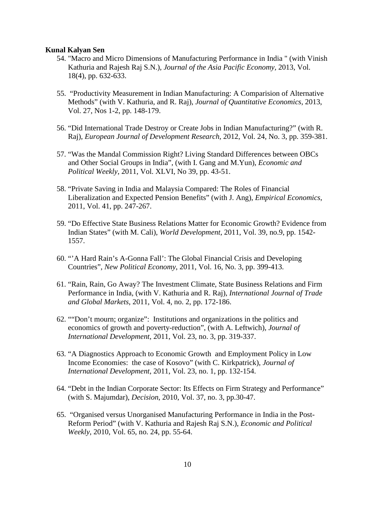- 54. "Macro and Micro Dimensions of Manufacturing Performance in India " (with Vinish Kathuria and Rajesh Raj S.N.), *Journal of the Asia Pacific Economy,* 2013, Vol. 18(4), pp. 632-633.
- 55. "Productivity Measurement in Indian Manufacturing: A Comparision of Alternative Methods" (with V. Kathuria, and R. Raj), *Journal of Quantitative Economics*, 2013, Vol. 27, Nos 1-2, pp. 148-179.
- 56. "Did International Trade Destroy or Create Jobs in Indian Manufacturing?" (with R. Raj), *European Journal of Development Research*, 2012, Vol. 24, No. 3, pp. 359-381.
- 57. "Was the Mandal Commission Right? Living Standard Differences between OBCs and Other Social Groups in India", (with I. Gang and M.Yun), *Economic and Political Weekly*, 2011, Vol. XLVI, No 39, pp. 43-51.
- 58. "Private Saving in India and Malaysia Compared: The Roles of Financial Liberalization and Expected Pension Benefits" (with J. Ang), *Empirical Economics*, 2011, Vol. 41, pp. 247-267.
- 59. "Do Effective State Business Relations Matter for Economic Growth? Evidence from Indian States" (with M. Cali), *World Development*, 2011, Vol. 39, no.9, pp. 1542- 1557.
- 60. "'A Hard Rain's A-Gonna Fall': The Global Financial Crisis and Developing Countries", *New Political Economy*, 2011, Vol. 16, No. 3, pp. 399-413.
- 61. "Rain, Rain, Go Away? The Investment Climate, State Business Relations and Firm Performance in India, (with V. Kathuria and R. Raj), *International Journal of Trade and Global Markets*, 2011, Vol. 4, no. 2, pp. 172-186.
- 62. ""Don't mourn; organize": Institutions and organizations in the politics and economics of growth and poverty-reduction", (with A. Leftwich), *Journal of International Development*, 2011, Vol. 23, no. 3, pp. 319-337.
- 63. "A Diagnostics Approach to Economic Growth and Employment Policy in Low Income Economies: the case of Kosovo" (with C. Kirkpatrick), *Journal of International Development*, 2011, Vol. 23, no. 1, pp. 132-154.
- 64. "Debt in the Indian Corporate Sector: Its Effects on Firm Strategy and Performance" (with S. Majumdar), *Decision*, 2010, Vol. 37, no. 3, pp.30-47.
- 65. "Organised versus Unorganised Manufacturing Performance in India in the Post-Reform Period" (with V. Kathuria and Rajesh Raj S.N.), *Economic and Political Weekly*, 2010, Vol. 65, no. 24, pp. 55-64.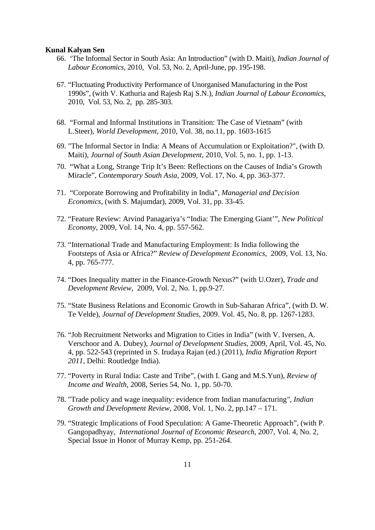- 66. 'The Informal Sector in South Asia: An Introduction" (with D. Maiti), *Indian Journal of Labour Economics*, 2010, Vol. 53, No. 2, April-June, pp. 195-198.
- 67. "Fluctuating Productivity Performance of Unorganised Manufacturing in the Post 1990s", (with V. Kathuria and Rajesh Raj S.N.), *Indian Journal of Labour Economics*, 2010, Vol. 53, No. 2, pp. 285-303.
- 68. "Formal and Informal Institutions in Transition: The Case of Vietnam" (with L.Steer), *World Development*, 2010, Vol. 38, no.11, pp. 1603-1615
- 69. "The Informal Sector in India: A Means of Accumulation or Exploitation?", (with D. Maiti), *Journal of South Asian Development*, 2010, Vol. 5, no. 1, pp. 1-13.
- 70. "What a Long, Strange Trip It's Been: Reflections on the Causes of India's Growth Miracle", *Contemporary South Asia*, 2009, Vol. 17, No. 4, pp. 363-377.
- 71. "Corporate Borrowing and Profitability in India", *Managerial and Decision Economics*, (with S. Majumdar), 2009, Vol. 31, pp. 33-45.
- 72. "Feature Review: Arvind Panagariya's "India: The Emerging Giant'", *New Political Economy*, 2009, Vol. 14, No. 4, pp. 557-562.
- 73. "International Trade and Manufacturing Employment: Is India following the Footsteps of Asia or Africa?" *Review of Development Economics*, 2009, Vol. 13, No. 4, pp. 765-777.
- 74. "Does Inequality matter in the Finance-Growth Nexus?" (with U.Ozer), *Trade and Development Review*, 2009, Vol. 2, No. 1, pp.9-27.
- 75. "State Business Relations and Economic Growth in Sub-Saharan Africa", (with D. W. Te Velde), *Journal of Development Studies*, 2009. Vol. 45, No. 8, pp. 1267-1283.
- 76. "Job Recruitment Networks and Migration to Cities in India" (with V. Iversen, A. Verschoor and A. Dubey), *Journal of Development Studies*, 2009, April, Vol. 45, No. 4, pp. 522-543 (reprinted in S. Irudaya Rajan (ed.) (2011), *India Migration Report 2011*, Delhi: Routledge India).
- 77. "Poverty in Rural India: Caste and Tribe", (with I. Gang and M.S.Yun), *Review of Income and Wealth*, 2008, Series 54, No. 1, pp. 50-70.
- 78. "Trade policy and wage inequality: evidence from Indian manufacturing*", Indian Growth and Development Review*, 2008, Vol. 1, No. 2, pp.147 – 171.
- 79. "Strategic Implications of Food Speculation: A Game-Theoretic Approach", (with P. Gangopadhyay, *International Journal of Economic Research*, 2007, Vol. 4, No. 2, Special Issue in Honor of Murray Kemp, pp. 251-264.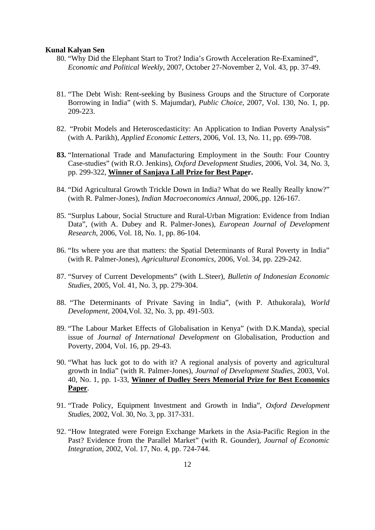- 80. "Why Did the Elephant Start to Trot? India's Growth Acceleration Re-Examined", *Economic and Political Weekly*, 2007, October 27-November 2, Vol. 43, pp. 37-49.
- 81. "The Debt Wish: Rent-seeking by Business Groups and the Structure of Corporate Borrowing in India" (with S. Majumdar), *Public Choice*, 2007, Vol. 130, No. 1, pp. 209-223.
- 82. "Probit Models and Heteroscedasticity: An Application to Indian Poverty Analysis" (with A. Parikh), *Applied Economic Letters*, 2006, Vol. 13, No. 11, pp. 699-708.
- **83.** "International Trade and Manufacturing Employment in the South: Four Country Case-studies" (with R.O. Jenkins), *Oxford Development Studies*, 2006, Vol. 34, No. 3, pp. 299-322, **Winner of Sanjaya Lall Prize for Best Paper.**
- 84. "Did Agricultural Growth Trickle Down in India? What do we Really Really know?" (with R. Palmer-Jones), *Indian Macroeconomics Annual*, 2006,.pp. 126-167.
- 85. "Surplus Labour, Social Structure and Rural-Urban Migration: Evidence from Indian Data", (with A. Dubey and R. Palmer-Jones), *European Journal of Development Research*, 2006, Vol. 18, No. 1, pp. 86-104.
- 86. "Its where you are that matters: the Spatial Determinants of Rural Poverty in India" (with R. Palmer-Jones), *Agricultural Economics*, 2006, Vol. 34, pp. 229-242.
- 87. "Survey of Current Developments" (with L.Steer), *Bulletin of Indonesian Economic Studies*, 2005, Vol. 41, No. 3, pp. 279-304.
- 88. "The Determinants of Private Saving in India", (with P. Athukorala), *World Development*, 2004,Vol. 32, No. 3, pp. 491-503.
- 89. "The Labour Market Effects of Globalisation in Kenya" (with D.K.Manda), special issue of *Journal of International Development* on Globalisation, Production and Poverty, 2004, Vol. 16, pp. 29-43.
- 90. "What has luck got to do with it? A regional analysis of poverty and agricultural growth in India" (with R. Palmer-Jones), *Journal of Development Studies*, 2003, Vol. 40, No. 1, pp. 1-33, **Winner of Dudley Seers Memorial Prize for Best Economics Paper**.
- 91. "Trade Policy, Equipment Investment and Growth in India", *Oxford Development Studies*, 2002, Vol. 30, No. 3, pp. 317-331.
- 92. "How Integrated were Foreign Exchange Markets in the Asia-Pacific Region in the Past? Evidence from the Parallel Market" (with R. Gounder), *Journal of Economic Integration*, 2002, Vol. 17, No. 4, pp. 724-744.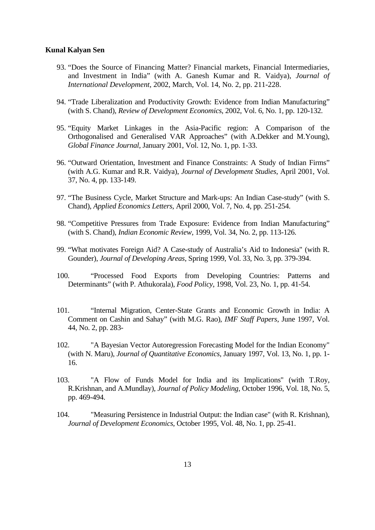- 93. "Does the Source of Financing Matter? Financial markets, Financial Intermediaries, and Investment in India" (with A. Ganesh Kumar and R. Vaidya), *Journal of International Development*, 2002, March, Vol. 14, No. 2, pp. 211-228.
- 94. "Trade Liberalization and Productivity Growth: Evidence from Indian Manufacturing" (with S. Chand), *Review of Development Economics*, 2002, Vol. 6, No. 1, pp. 120-132.
- 95. "Equity Market Linkages in the Asia-Pacific region: A Comparison of the Orthogonalised and Generalised VAR Approaches" (with A.Dekker and M.Young), *Global Finance Journal*, January 2001, Vol. 12, No. 1, pp. 1-33.
- 96. "Outward Orientation, Investment and Finance Constraints: A Study of Indian Firms" (with A.G. Kumar and R.R. Vaidya), *Journal of Development Studies*, April 2001, Vol. 37, No. 4, pp. 133-149.
- 97. "The Business Cycle, Market Structure and Mark-ups: An Indian Case-study" (with S. Chand), *Applied Economics Letters*, April 2000, Vol. 7, No. 4, pp. 251-254.
- 98. "Competitive Pressures from Trade Exposure: Evidence from Indian Manufacturing" (with S. Chand), *Indian Economic Review*, 1999, Vol. 34, No. 2, pp. 113-126.
- 99. "What motivates Foreign Aid? A Case-study of Australia's Aid to Indonesia" (with R. Gounder), *Journal of Developing Areas*, Spring 1999, Vol. 33, No. 3, pp. 379-394.
- 100. "Processed Food Exports from Developing Countries: Patterns and Determinants" (with P. Athukorala), *Food Policy*, 1998, Vol. 23, No. 1, pp. 41-54.
- 101. "Internal Migration, Center-State Grants and Economic Growth in India: A Comment on Cashin and Sahay" (with M.G. Rao), *IMF Staff Papers*, June 1997, Vol. 44, No. 2, pp. 283-
- 102. "A Bayesian Vector Autoregression Forecasting Model for the Indian Economy" (with N. Maru), *Journal of Quantitative Economics*, January 1997, Vol. 13, No. 1, pp. 1- 16.
- 103. "A Flow of Funds Model for India and its Implications" (with T.Roy, R.Krishnan, and A.Mundlay), *Journal of Policy Modeling*, October 1996, Vol. 18, No. 5, pp. 469-494.
- 104. "Measuring Persistence in Industrial Output: the Indian case" (with R. Krishnan), *Journal of Development Economics*, October 1995, Vol. 48, No. 1, pp. 25-41.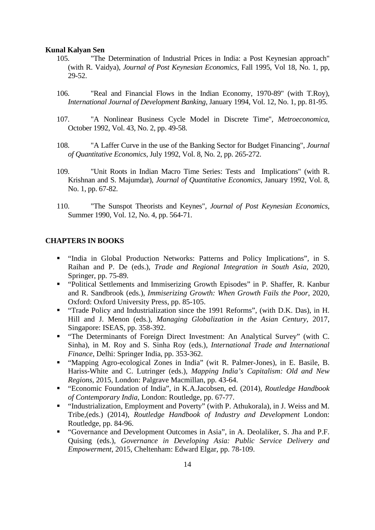- 105. "The Determination of Industrial Prices in India: a Post Keynesian approach" (with R. Vaidya), *Journal of Post Keynesian Economics*, Fall 1995, Vol 18, No. 1, pp, 29-52.
- 106. "Real and Financial Flows in the Indian Economy, 1970-89" (with T.Roy), *International Journal of Development Banking*, January 1994, Vol. 12, No. 1, pp. 81-95.
- 107. "A Nonlinear Business Cycle Model in Discrete Time", *Metroeconomica*, October 1992, Vol. 43, No. 2, pp. 49-58.
- 108. "A Laffer Curve in the use of the Banking Sector for Budget Financing", *Journal of Quantitative Economics*, July 1992, Vol. 8, No. 2, pp. 265-272.
- 109. "Unit Roots in Indian Macro Time Series: Tests and Implications" (with R. Krishnan and S. Majumdar), *Journal of Quantitative Economics*, January 1992, Vol. 8, No. 1, pp. 67-82.
- 110. "The Sunspot Theorists and Keynes", *Journal of Post Keynesian Economics*, Summer 1990, Vol. 12, No. 4, pp. 564-71.

### **CHAPTERS IN BOOKS**

- "India in Global Production Networks: Patterns and Policy Implications", in S. Raihan and P. De (eds.), *Trade and Regional Integration in South Asia*, 2020, Springer, pp. 75-89.
- "Political Settlements and Immiserizing Growth Episodes" in P. Shaffer, R. Kanbur and R. Sandbrook (eds.), *Immiserizing Growth: When Growth Fails the Poor*, 2020, Oxford: Oxford University Press, pp. 85-105.
- "Trade Policy and Industrialization since the 1991 Reforms", (with D.K. Das), in H. Hill and J. Menon (eds.), *Managing Globalization in the Asian Century*, 2017, Singapore: ISEAS, pp. 358-392.
- "The Determinants of Foreign Direct Investment: An Analytical Survey" (with C. Sinha), in M. Roy and S. Sinha Roy (eds.), *International Trade and International Finance*, Delhi: Springer India, pp. 353-362.
- "Mapping Agro-ecological Zones in India" (wit R. Palmer-Jones), in E. Basile, B. Hariss-White and C. Lutringer (eds.), *Mapping India's Capitalism: Old and New Regions*, 2015, London: Palgrave Macmillan, pp. 43-64.
- "Economic Foundation of India", in K.A.Jacobsen, ed. (2014), *Routledge Handbook of Contemporary India*, London: Routledge, pp. 67-77.
- "Industrialization, Employment and Poverty" (with P. Athukorala), in J. Weiss and M. Tribe,(eds.) (2014), *Routledge Handbook of Industry and Development* London: Routledge, pp. 84-96.
- "Governance and Development Outcomes in Asia", in A. Deolaliker, S. Jha and P.F. Quising (eds.), *Governance in Developing Asia: Public Service Delivery and Empowerment*, 2015, Cheltenham: Edward Elgar, pp. 78-109.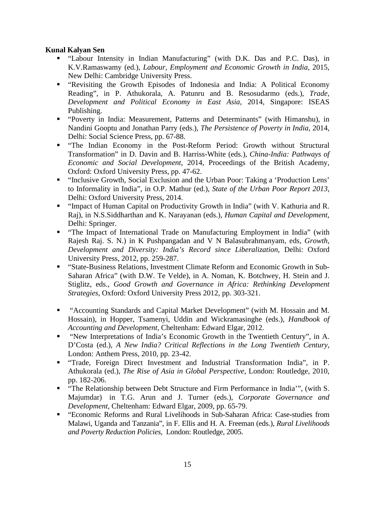- "Labour Intensity in Indian Manufacturing" (with D.K. Das and P.C. Das), in K.V.Ramaswamy (ed.), *Labour, Employment and Economic Growth in India*, 2015, New Delhi: Cambridge University Press.
- "Revisiting the Growth Episodes of Indonesia and India: A Political Economy Reading", in P. Athukorala, A. Patunru and B. Resosudarmo (eds.), *Trade, Development and Political Economy in East Asia*, 2014, Singapore: ISEAS Publishing.
- "Poverty in India: Measurement, Patterns and Determinants" (with Himanshu), in Nandini Gooptu and Jonathan Parry (eds.), *The Persistence of Poverty in India*, 2014, Delhi: Social Science Press, pp. 67-88.
- "The Indian Economy in the Post-Reform Period: Growth without Structural Transformation" in D. Davin and B. Harriss-White (eds.), *China-India: Pathways of Economic and Social Development*, 2014, Proceedings of the British Academy, Oxford: Oxford University Press, pp. 47-62.
- "Inclusive Growth, Social Exclusion and the Urban Poor: Taking a 'Production Lens' to Informality in India", in O.P. Mathur (ed.), *State of the Urban Poor Report 2013*, Delhi: Oxford University Press, 2014.
- "Impact of Human Capital on Productivity Growth in India" (with V. Kathuria and R. Raj), in N.S.Siddharthan and K. Narayanan (eds.), *Human Capital and Development*, Delhi: Springer.
- "The Impact of International Trade on Manufacturing Employment in India" (with Rajesh Raj. S. N.) in K Pushpangadan and V N Balasubrahmanyam, eds, *Growth, Development and Diversity: India's Record since Liberalization*, Delhi: Oxford University Press, 2012, pp. 259-287.
- "State-Business Relations, Investment Climate Reform and Economic Growth in Sub-Saharan Africa" (with D.W. Te Velde), in A. Noman, K. Botchwey, H. Stein and J. Stiglitz, eds., *Good Growth and Governance in Africa: Rethinking Development Strategies*, Oxford: Oxford University Press 2012, pp. 303-321.
- "Accounting Standards and Capital Market Development" (with M. Hossain and M. Hossain), in Hopper, Tsamenyi, Uddin and Wickramasinghe (eds.), *Handbook of Accounting and Development*, Cheltenham: Edward Elgar, 2012.
- "New Interpretations of India's Economic Growth in the Twentieth Century", in A. D'Costa (ed.), *A New India? Critical Reflections in the Long Twentieth Century*, London: Anthem Press, 2010, pp. 23-42.
- "Trade, Foreign Direct Investment and Industrial Transformation India", in P. Athukorala (ed.), *The Rise of Asia in Global Perspective*, London: Routledge, 2010, pp. 182-206.
- "The Relationship between Debt Structure and Firm Performance in India'", (with S. Majumdar) in T.G. Arun and J. Turner (eds.), *Corporate Governance and Development*, Cheltenham: Edward Elgar, 2009, pp. 65-79.
- "Economic Reforms and Rural Livelihoods in Sub-Saharan Africa: Case-studies from Malawi, Uganda and Tanzania", in F. Ellis and H. A. Freeman (eds.), *Rural Livelihoods and Poverty Reduction Policies*, London: Routledge, 2005.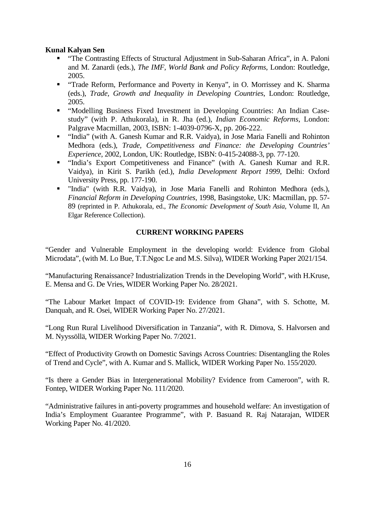- "The Contrasting Effects of Structural Adjustment in Sub-Saharan Africa", in A. Paloni and M. Zanardi (eds.), *The IMF, World Bank and Policy Reforms*, London: Routledge, 2005.
- "Trade Reform, Performance and Poverty in Kenya", in O. Morrissey and K. Sharma (eds.), *Trade, Growth and Inequality in Developing Countries*, London: Routledge, 2005.
- "Modelling Business Fixed Investment in Developing Countries: An Indian Casestudy" (with P. Athukorala), in R. Jha (ed.), *Indian Economic Reforms*, London: Palgrave Macmillan, 2003, ISBN: 1-4039-0796-X, pp. 206-222.
- "India" (with A. Ganesh Kumar and R.R. Vaidya), in Jose Maria Fanelli and Rohinton Medhora (eds.), *Trade, Competitiveness and Finance: the Developing Countries' Experience*, 2002, London, UK: Routledge, ISBN: 0-415-24088-3, pp. 77-120.
- "India's Export Competitiveness and Finance" (with A. Ganesh Kumar and R.R. Vaidya), in Kirit S. Parikh (ed.), *India Development Report 1999*, Delhi: Oxford University Press, pp. 177-190.
- "India" (with R.R. Vaidya), in Jose Maria Fanelli and Rohinton Medhora (eds.), *Financial Reform in Developing Countries*, 1998, Basingstoke, UK: Macmillan, pp. 57- 89 (reprinted in P. Athukorala, ed., *The Economic Development of South Asia*, Volume II, An Elgar Reference Collection).

# **CURRENT WORKING PAPERS**

"Gender and Vulnerable Employment in the developing world: Evidence from Global Microdata", (with M. Lo Bue, T.T.Ngoc Le and M.S. Silva), WIDER Working Paper 2021/154.

"Manufacturing Renaissance? Industrialization Trends in the Developing World", with H.Kruse, E. Mensa and G. De Vries, WIDER Working Paper No. 28/2021.

"The Labour Market Impact of COVID-19: Evidence from Ghana", with S. Schotte, M. Danquah, and R. Osei, WIDER Working Paper No. 27/2021.

"Long Run Rural Livelihood Diversification in Tanzania", with R. Dimova, S. Halvorsen and M. Nyyssöllä, WIDER Working Paper No. 7/2021.

"Effect of Productivity Growth on Domestic Savings Across Countries: Disentangling the Roles of Trend and Cycle", with A. Kumar and S. Mallick, WIDER Working Paper No. 155/2020.

"Is there a Gender Bias in Intergenerational Mobility? Evidence from Cameroon", with R. Fontep, WIDER Working Paper No. 111/2020.

"Administrative failures in anti-poverty programmes and household welfare: An investigation of India's Employment Guarantee Programme", with P. Basuand R. Raj Natarajan, WIDER Working Paper No. 41/2020.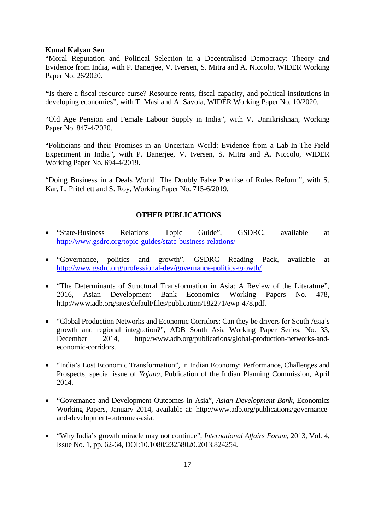"Moral Reputation and Political Selection in a Decentralised Democracy: Theory and Evidence from India, with P. Banerjee, V. Iversen, S. Mitra and A. Niccolo, WIDER Working Paper No. 26/2020.

**"**Is there a fiscal resource curse? Resource rents, fiscal capacity, and political institutions in developing economies", with T. Masi and A. Savoia, WIDER Working Paper No. 10/2020.

"Old Age Pension and Female Labour Supply in India", with V. Unnikrishnan, Working Paper No. 847-4/2020.

"Politicians and their Promises in an Uncertain World: Evidence from a Lab-In-The-Field Experiment in India", with P. Banerjee, V. Iversen, S. Mitra and A. Niccolo, WIDER Working Paper No. 694-4/2019.

"Doing Business in a Deals World: The Doubly False Premise of Rules Reform", with S. Kar, L. Pritchett and S. Roy, Working Paper No. 715-6/2019.

# **OTHER PUBLICATIONS**

- "State-Business Relations Topic Guide", GSDRC, available at <http://www.gsdrc.org/topic-guides/state-business-relations/>
- "Governance, politics and growth", GSDRC Reading Pack, available at <http://www.gsdrc.org/professional-dev/governance-politics-growth/>
- "The Determinants of Structural Transformation in Asia: A Review of the Literature", 2016, Asian Development Bank Economics Working Papers No. 478, http://www.adb.org/sites/default/files/publication/182271/ewp-478.pdf.
- "Global Production Networks and Economic Corridors: Can they be drivers for South Asia's growth and regional integration?", ADB South Asia Working Paper Series. No. 33, December 2014, http://www.adb.org/publications/global-production-networks-andeconomic-corridors.
- "India's Lost Economic Transformation", in Indian Economy: Performance, Challenges and Prospects, special issue of *Yojana*, Publication of the Indian Planning Commission, April 2014.
- "Governance and Development Outcomes in Asia", *Asian Development Bank*, Economics Working Papers, January 2014, available at: http://www.adb.org/publications/governanceand-development-outcomes-asia.
- "Why India's growth miracle may not continue", *International Affairs Forum*, 2013, Vol. 4, Issue No. 1, pp. 62-64, DOI:10.1080/23258020.2013.824254.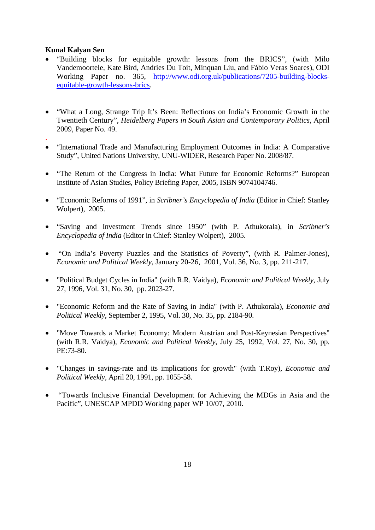.

- "Building blocks for equitable growth: lessons from the BRICS", (with Milo Vandemoortele, Kate Bird, Andries Du Toit, Minquan Liu, and Fábio Veras Soares), ODI Working Paper no. 365, [http://www.odi.org.uk/publications/7205-building-blocks](http://www.odi.org.uk/publications/7205-building-blocks-equitable-growth-lessons-brics)[equitable-growth-lessons-brics.](http://www.odi.org.uk/publications/7205-building-blocks-equitable-growth-lessons-brics)
- "What a Long, Strange Trip It's Been: Reflections on India's Economic Growth in the Twentieth Century", *Heidelberg Papers in South Asian and Contemporary Politics*, April 2009, Paper No. 49.
- "International Trade and Manufacturing Employment Outcomes in India: A Comparative Study", United Nations University, UNU-WIDER, Research Paper No. 2008/87.
- "The Return of the Congress in India: What Future for Economic Reforms?" European Institute of Asian Studies, Policy Briefing Paper, 2005, ISBN 9074104746.
- "Economic Reforms of 1991", in *Scribner's Encyclopedia of India* (Editor in Chief: Stanley Wolpert), 2005.
- "Saving and Investment Trends since 1950" (with P. Athukorala), in *Scribner's Encyclopedia of India* (Editor in Chief: Stanley Wolpert), 2005.
- "On India's Poverty Puzzles and the Statistics of Poverty", (with R. Palmer-Jones), *Economic and Political Weekly*, January 20-26, 2001, Vol. 36, No. 3, pp. 211-217.
- "Political Budget Cycles in India" (with R.R. Vaidya), *Economic and Political Weekly*, July 27, 1996, Vol. 31, No. 30, pp. 2023-27.
- "Economic Reform and the Rate of Saving in India" (with P. Athukorala), *Economic and Political Weekly*, September 2, 1995, Vol. 30, No. 35, pp. 2184-90.
- "Move Towards a Market Economy: Modern Austrian and Post-Keynesian Perspectives" (with R.R. Vaidya), *Economic and Political Weekly*, July 25, 1992, Vol. 27, No. 30, pp. PE:73-80.
- "Changes in savings-rate and its implications for growth" (with T.Roy), *Economic and Political Weekly*, April 20, 1991, pp. 1055-58.
- "Towards Inclusive Financial Development for Achieving the MDGs in Asia and the Pacific", UNESCAP MPDD Working paper WP 10/07, 2010.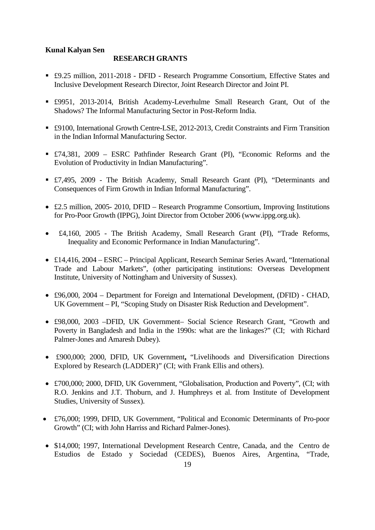### **RESEARCH GRANTS**

- £9.25 million, 2011-2018 DFID Research Programme Consortium, Effective States and Inclusive Development Research Director, Joint Research Director and Joint PI.
- £9951, 2013-2014, British Academy-Leverhulme Small Research Grant, Out of the Shadows? The Informal Manufacturing Sector in Post-Reform India.
- £9100, International Growth Centre-LSE, 2012-2013, Credit Constraints and Firm Transition in the Indian Informal Manufacturing Sector.
- £74,381, 2009 ESRC Pathfinder Research Grant (PI), "Economic Reforms and the Evolution of Productivity in Indian Manufacturing".
- £7,495, 2009 The British Academy, Small Research Grant (PI), "Determinants and Consequences of Firm Growth in Indian Informal Manufacturing".
- £2.5 million, 2005- 2010, DFID Research Programme Consortium, Improving Institutions for Pro-Poor Growth (IPPG), Joint Director from October 2006 (www.ippg.org.uk).
- £4,160, 2005 The British Academy, Small Research Grant (PI), "Trade Reforms, Inequality and Economic Performance in Indian Manufacturing".
- £14,416, 2004 ESRC Principal Applicant, Research Seminar Series Award, "International Trade and Labour Markets", (other participating institutions: Overseas Development Institute, University of Nottingham and University of Sussex).
- £96,000, 2004 Department for Foreign and International Development, (DFID) CHAD, UK Government – PI, "Scoping Study on Disaster Risk Reduction and Development".
- £98,000, 2003 –DFID, UK Government– Social Science Research Grant, "Growth and Poverty in Bangladesh and India in the 1990s: what are the linkages?" (CI; with Richard Palmer-Jones and Amaresh Dubey).
- £900,000; 2000, DFID, UK Government**,** "Livelihoods and Diversification Directions Explored by Research (LADDER)" (CI; with Frank Ellis and others).
- £700,000; 2000, DFID, UK Government, "Globalisation, Production and Poverty", (CI; with R.O. Jenkins and J.T. Thoburn, and J. Humphreys et al. from Institute of Development Studies, University of Sussex).
- £76,000; 1999, DFID, UK Government, "Political and Economic Determinants of Pro-poor Growth" (CI; with John Harriss and Richard Palmer-Jones).
- \$14,000; 1997, International Development Research Centre, Canada, and the Centro de Estudios de Estado y Sociedad (CEDES), Buenos Aires, Argentina, "Trade,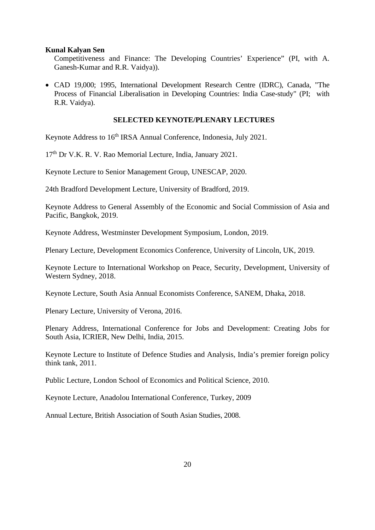Competitiveness and Finance: The Developing Countries' Experience" (PI, with A. Ganesh-Kumar and R.R. Vaidya)).

• CAD 19,000; 1995, International Development Research Centre (IDRC), Canada, "The Process of Financial Liberalisation in Developing Countries: India Case-study" (PI; with R.R. Vaidya).

#### **SELECTED KEYNOTE/PLENARY LECTURES**

Keynote Address to 16<sup>th</sup> IRSA Annual Conference, Indonesia, July 2021.

17<sup>th</sup> Dr V.K. R. V. Rao Memorial Lecture, India, January 2021.

Keynote Lecture to Senior Management Group, UNESCAP, 2020.

24th Bradford Development Lecture, University of Bradford, 2019.

Keynote Address to General Assembly of the Economic and Social Commission of Asia and Pacific, Bangkok, 2019.

Keynote Address, Westminster Development Symposium, London, 2019.

Plenary Lecture, Development Economics Conference, University of Lincoln, UK, 2019.

Keynote Lecture to International Workshop on Peace, Security, Development, University of Western Sydney, 2018.

Keynote Lecture, South Asia Annual Economists Conference, SANEM, Dhaka, 2018.

Plenary Lecture, University of Verona, 2016.

Plenary Address, International Conference for Jobs and Development: Creating Jobs for South Asia, ICRIER, New Delhi, India, 2015.

Keynote Lecture to Institute of Defence Studies and Analysis, India's premier foreign policy think tank, 2011.

Public Lecture, London School of Economics and Political Science, 2010.

Keynote Lecture, Anadolou International Conference, Turkey, 2009

Annual Lecture, British Association of South Asian Studies, 2008.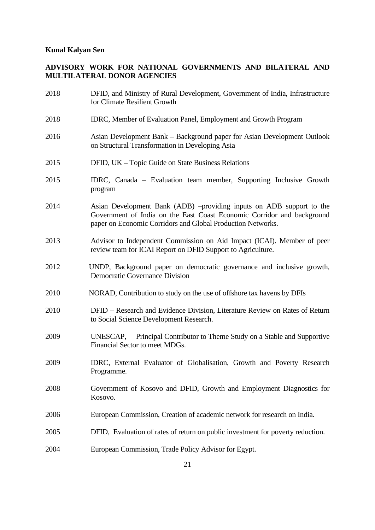# **ADVISORY WORK FOR NATIONAL GOVERNMENTS AND BILATERAL AND MULTILATERAL DONOR AGENCIES**

| 2018 | DFID, and Ministry of Rural Development, Government of India, Infrastructure<br>for Climate Resilient Growth                                                                                                  |
|------|---------------------------------------------------------------------------------------------------------------------------------------------------------------------------------------------------------------|
| 2018 | IDRC, Member of Evaluation Panel, Employment and Growth Program                                                                                                                                               |
| 2016 | Asian Development Bank – Background paper for Asian Development Outlook<br>on Structural Transformation in Developing Asia                                                                                    |
| 2015 | DFID, UK – Topic Guide on State Business Relations                                                                                                                                                            |
| 2015 | IDRC, Canada – Evaluation team member, Supporting Inclusive Growth<br>program                                                                                                                                 |
| 2014 | Asian Development Bank (ADB) -providing inputs on ADB support to the<br>Government of India on the East Coast Economic Corridor and background<br>paper on Economic Corridors and Global Production Networks. |
| 2013 | Advisor to Independent Commission on Aid Impact (ICAI). Member of peer<br>review team for ICAI Report on DFID Support to Agriculture.                                                                         |
| 2012 | UNDP, Background paper on democratic governance and inclusive growth,<br><b>Democratic Governance Division</b>                                                                                                |
| 2010 | NORAD, Contribution to study on the use of offshore tax havens by DFIs                                                                                                                                        |
| 2010 | DFID - Research and Evidence Division, Literature Review on Rates of Return<br>to Social Science Development Research.                                                                                        |
| 2009 | Principal Contributor to Theme Study on a Stable and Supportive<br>UNESCAP,<br>Financial Sector to meet MDGs.                                                                                                 |
| 2009 | IDRC, External Evaluator of Globalisation, Growth and Poverty Research<br>Programme.                                                                                                                          |
| 2008 | Government of Kosovo and DFID, Growth and Employment Diagnostics for<br>Kosovo.                                                                                                                               |
| 2006 | European Commission, Creation of academic network for research on India.                                                                                                                                      |
| 2005 | DFID, Evaluation of rates of return on public investment for poverty reduction.                                                                                                                               |
| 2004 | European Commission, Trade Policy Advisor for Egypt.                                                                                                                                                          |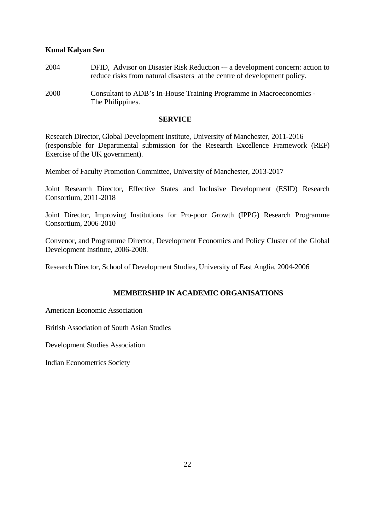- 2004 DFID, Advisor on Disaster Risk Reduction -– a development concern: action to reduce risks from natural disasters at the centre of development policy.
- 2000 Consultant to ADB's In-House Training Programme in Macroeconomics The Philippines.

#### **SERVICE**

Research Director, Global Development Institute, University of Manchester, 2011-2016 (responsible for Departmental submission for the Research Excellence Framework (REF) Exercise of the UK government).

Member of Faculty Promotion Committee, University of Manchester, 2013-2017

Joint Research Director, Effective States and Inclusive Development (ESID) Research Consortium, 2011-2018

Joint Director, Improving Institutions for Pro-poor Growth (IPPG) Research Programme Consortium, 2006-2010

Convenor, and Programme Director, Development Economics and Policy Cluster of the Global Development Institute, 2006-2008.

Research Director, School of Development Studies, University of East Anglia, 2004-2006

## **MEMBERSHIP IN ACADEMIC ORGANISATIONS**

American Economic Association

British Association of South Asian Studies

Development Studies Association

Indian Econometrics Society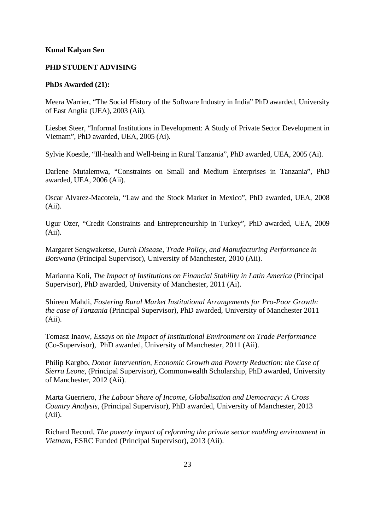## **PHD STUDENT ADVISING**

#### **PhDs Awarded (21):**

Meera Warrier, "The Social History of the Software Industry in India" PhD awarded, University of East Anglia (UEA), 2003 (Aii).

Liesbet Steer, "Informal Institutions in Development: A Study of Private Sector Development in Vietnam", PhD awarded, UEA, 2005 (Ai).

Sylvie Koestle, "Ill-health and Well-being in Rural Tanzania", PhD awarded, UEA, 2005 (Ai).

Darlene Mutalemwa, "Constraints on Small and Medium Enterprises in Tanzania", PhD awarded, UEA, 2006 (Aii).

Oscar Alvarez-Macotela, "Law and the Stock Market in Mexico", PhD awarded, UEA, 2008 (Aii).

Ugur Ozer, "Credit Constraints and Entrepreneurship in Turkey", PhD awarded, UEA, 2009 (Aii).

Margaret Sengwaketse, *Dutch Disease, Trade Policy, and Manufacturing Performance in Botswana* (Principal Supervisor), University of Manchester, 2010 (Aii).

Marianna Koli, *The Impact of Institutions on Financial Stability in Latin America* (Principal Supervisor), PhD awarded, University of Manchester, 2011 (Ai).

Shireen Mahdi, *Fostering Rural Market Institutional Arrangements for Pro-Poor Growth: the case of Tanzania* (Principal Supervisor), PhD awarded, University of Manchester 2011 (Aii).

Tomasz Inaow, *Essays on the Impact of Institutional Environment on Trade Performance* (Co-Supervisor), PhD awarded, University of Manchester, 2011 (Aii).

Philip Kargbo, *Donor Intervention, Economic Growth and Poverty Reduction: the Case of Sierra Leone*, (Principal Supervisor), Commonwealth Scholarship, PhD awarded, University of Manchester, 2012 (Aii).

Marta Guerriero, *The Labour Share of Income, Globalisation and Democracy: A Cross Country Analysis*, (Principal Supervisor), PhD awarded, University of Manchester, 2013 (Aii).

Richard Record, *The poverty impact of reforming the private sector enabling environment in Vietnam*, ESRC Funded (Principal Supervisor), 2013 (Aii).